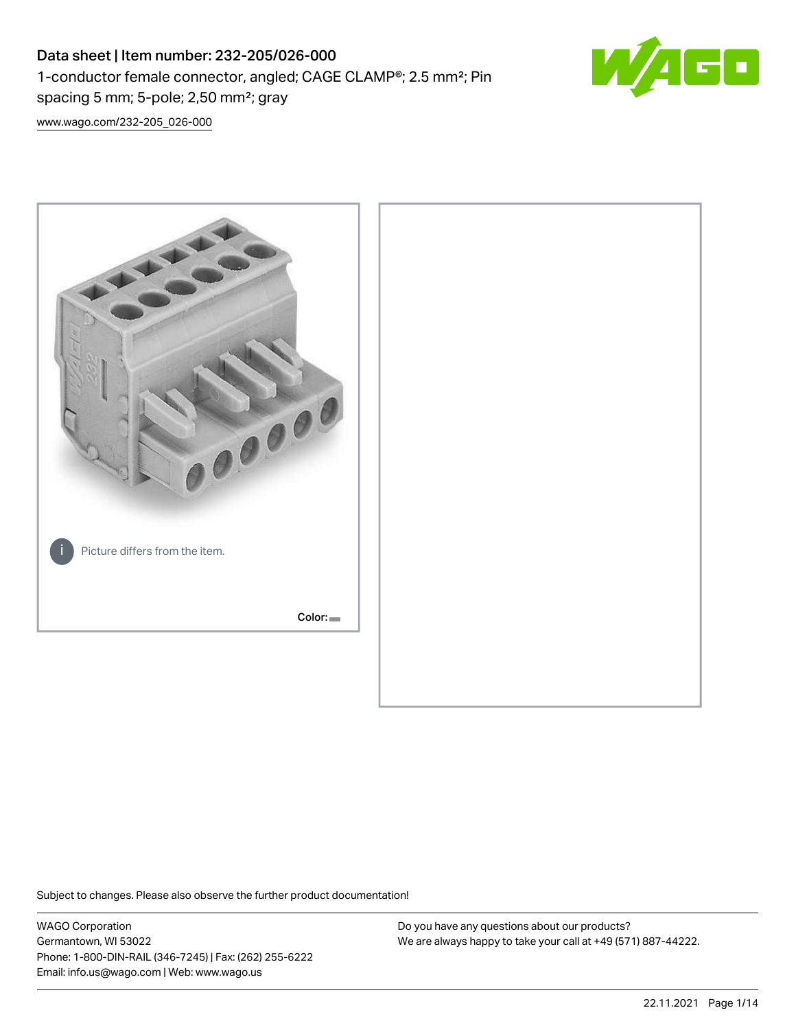# Data sheet | Item number: 232-205/026-000 1-conductor female connector, angled; CAGE CLAMP®; 2.5 mm²; Pin spacing 5 mm; 5-pole; 2,50 mm²; gray



[www.wago.com/232-205\\_026-000](http://www.wago.com/232-205_026-000)



Subject to changes. Please also observe the further product documentation!

WAGO Corporation Germantown, WI 53022 Phone: 1-800-DIN-RAIL (346-7245) | Fax: (262) 255-6222 Email: info.us@wago.com | Web: www.wago.us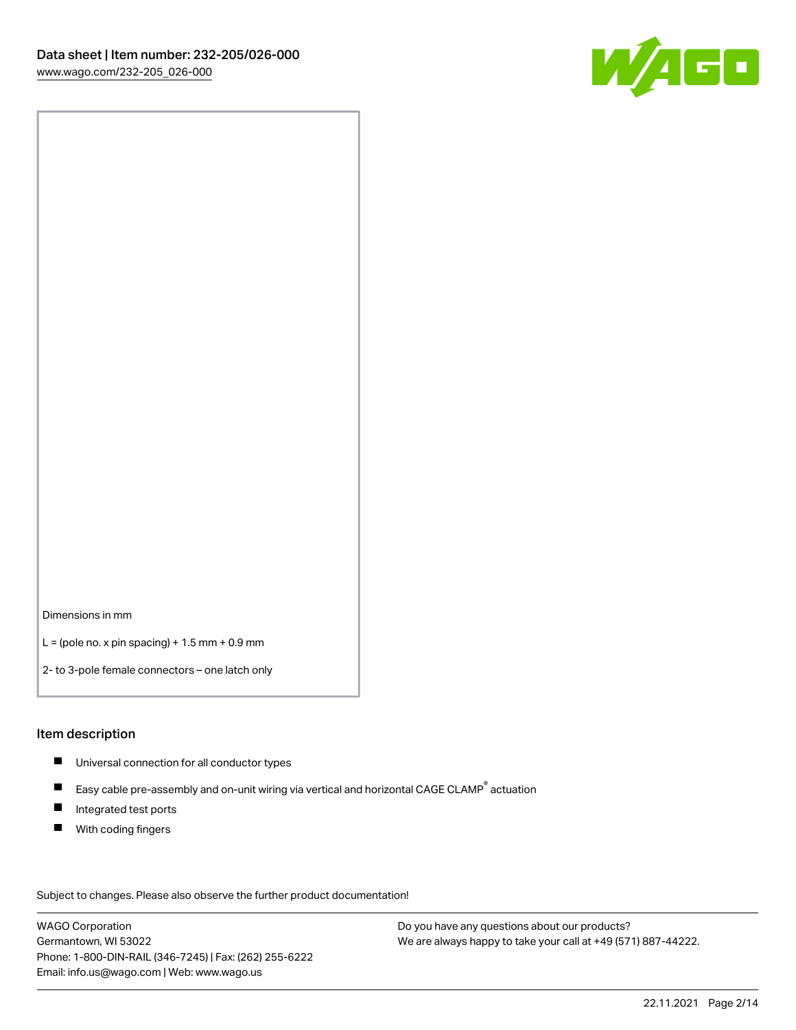

Dimensions in mm

 $L =$  (pole no. x pin spacing) + 1.5 mm + 0.9 mm

2- to 3-pole female connectors – one latch only

#### Item description

- **Universal connection for all conductor types**
- Easy cable pre-assembly and on-unit wiring via vertical and horizontal CAGE CLAMP<sup>®</sup> actuation  $\blacksquare$
- $\blacksquare$ Integrated test ports
- $\blacksquare$ With coding fingers

Subject to changes. Please also observe the further product documentation! Data

WAGO Corporation Germantown, WI 53022 Phone: 1-800-DIN-RAIL (346-7245) | Fax: (262) 255-6222 Email: info.us@wago.com | Web: www.wago.us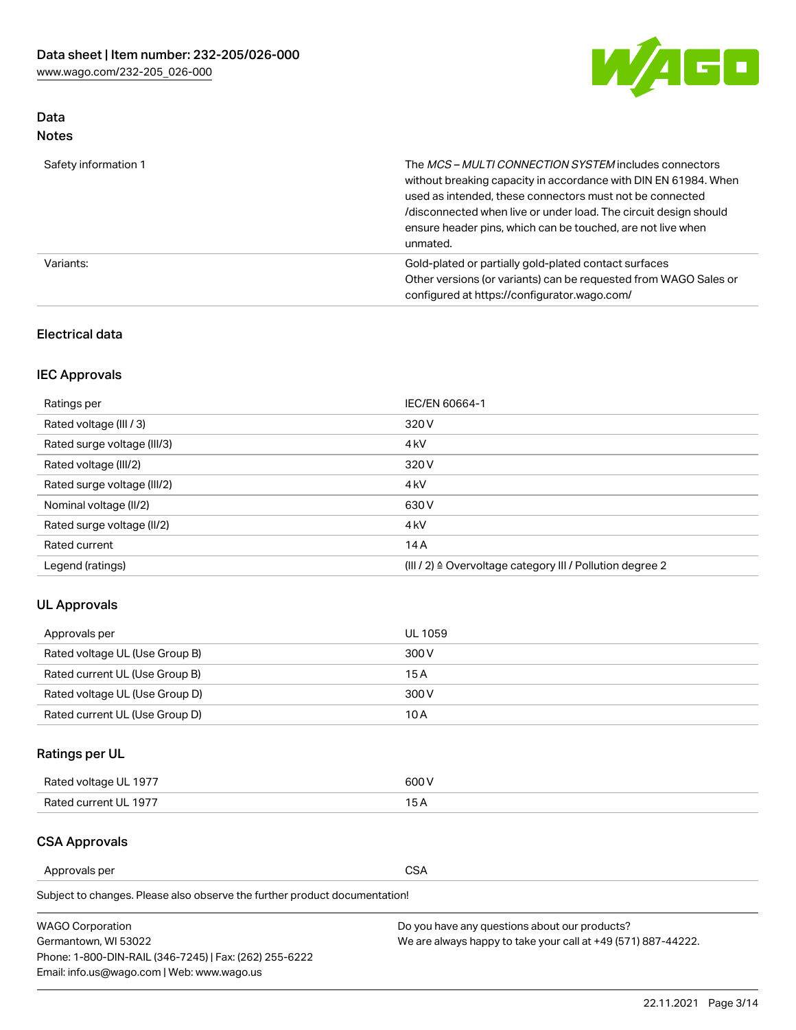

### Data Notes

| Safety information 1 | The MCS-MULTI CONNECTION SYSTEM includes connectors<br>without breaking capacity in accordance with DIN EN 61984. When<br>used as intended, these connectors must not be connected<br>/disconnected when live or under load. The circuit design should<br>ensure header pins, which can be touched, are not live when<br>unmated. |
|----------------------|-----------------------------------------------------------------------------------------------------------------------------------------------------------------------------------------------------------------------------------------------------------------------------------------------------------------------------------|
| Variants:            | Gold-plated or partially gold-plated contact surfaces<br>Other versions (or variants) can be requested from WAGO Sales or<br>configured at https://configurator.wago.com/                                                                                                                                                         |

### Electrical data

## IEC Approvals

| Ratings per                 | IEC/EN 60664-1                                                        |
|-----------------------------|-----------------------------------------------------------------------|
| Rated voltage (III / 3)     | 320 V                                                                 |
| Rated surge voltage (III/3) | 4 <sub>k</sub> V                                                      |
| Rated voltage (III/2)       | 320 V                                                                 |
| Rated surge voltage (III/2) | 4 <sub>k</sub> V                                                      |
| Nominal voltage (II/2)      | 630 V                                                                 |
| Rated surge voltage (II/2)  | 4 <sub>k</sub> V                                                      |
| Rated current               | 14A                                                                   |
| Legend (ratings)            | $(III / 2)$ $\triangle$ Overvoltage category III / Pollution degree 2 |

### UL Approvals

| Approvals per                  | UL 1059 |
|--------------------------------|---------|
| Rated voltage UL (Use Group B) | 300 V   |
| Rated current UL (Use Group B) | 15 A    |
| Rated voltage UL (Use Group D) | 300 V   |
| Rated current UL (Use Group D) | 10 A    |

## Ratings per UL

| Rated voltage UL 1977 | 300 V |
|-----------------------|-------|
| Rated current UL 1977 |       |

### CSA Approvals

Approvals per CSA

Subject to changes. Please also observe the further product documentation!

| <b>WAGO Corporation</b>                                | Do you have any questions about our products?                 |
|--------------------------------------------------------|---------------------------------------------------------------|
| Germantown, WI 53022                                   | We are always happy to take your call at +49 (571) 887-44222. |
| Phone: 1-800-DIN-RAIL (346-7245)   Fax: (262) 255-6222 |                                                               |
| Email: info.us@wago.com   Web: www.wago.us             |                                                               |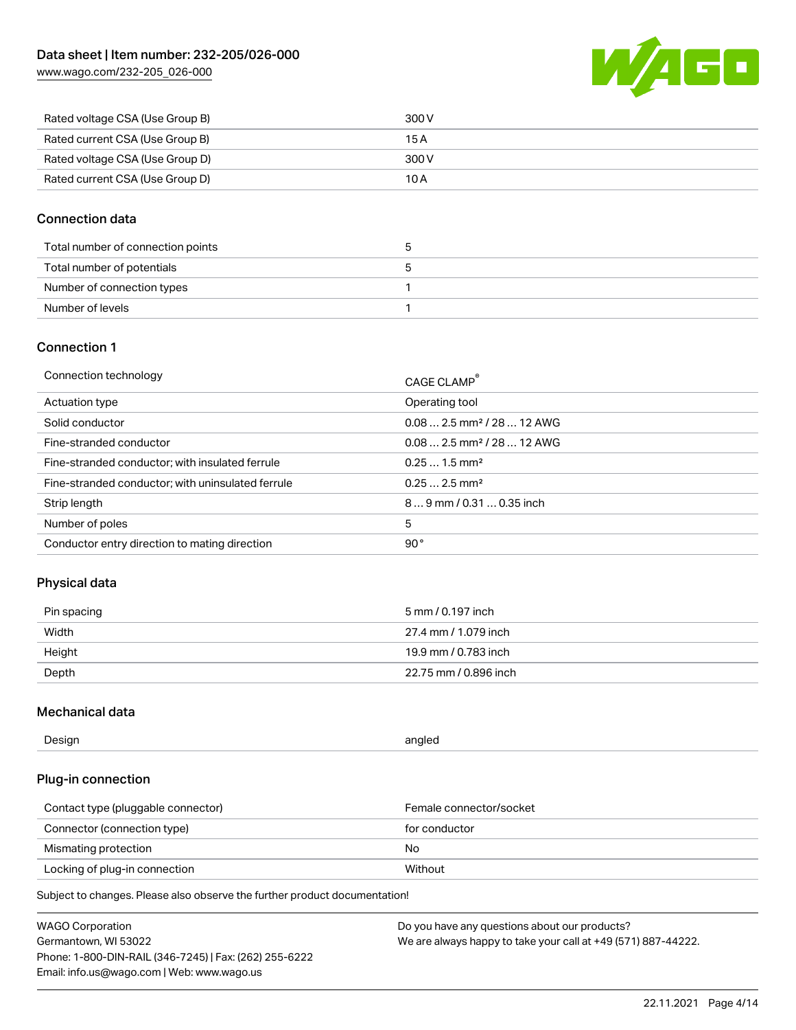[www.wago.com/232-205\\_026-000](http://www.wago.com/232-205_026-000)



| Rated voltage CSA (Use Group B) | 300 V |
|---------------------------------|-------|
| Rated current CSA (Use Group B) | 15 A  |
| Rated voltage CSA (Use Group D) | 300 V |
| Rated current CSA (Use Group D) | 10 A  |

#### Connection data

| Total number of connection points |  |
|-----------------------------------|--|
| Total number of potentials        |  |
| Number of connection types        |  |
| Number of levels                  |  |

### Connection 1

| Connection technology                             | CAGE CLAMP®                            |
|---------------------------------------------------|----------------------------------------|
| Actuation type                                    | Operating tool                         |
| Solid conductor                                   | $0.082.5$ mm <sup>2</sup> / 28  12 AWG |
| Fine-stranded conductor                           | $0.082.5$ mm <sup>2</sup> / 28  12 AWG |
| Fine-stranded conductor; with insulated ferrule   | $0.251.5$ mm <sup>2</sup>              |
| Fine-stranded conductor; with uninsulated ferrule | $0.252.5$ mm <sup>2</sup>              |
| Strip length                                      | $89$ mm / 0.31  0.35 inch              |
| Number of poles                                   | 5                                      |
| Conductor entry direction to mating direction     | 90°                                    |

### Physical data

| Pin spacing | 5 mm / 0.197 inch     |
|-------------|-----------------------|
| Width       | 27.4 mm / 1.079 inch  |
| Height      | 19.9 mm / 0.783 inch  |
| Depth       | 22.75 mm / 0.896 inch |

#### Mechanical data

| Design<br>angled |  |
|------------------|--|
|------------------|--|

### Plug-in connection

| Contact type (pluggable connector) | Female connector/socket |
|------------------------------------|-------------------------|
| Connector (connection type)        | for conductor           |
| Mismating protection               | No                      |
| Locking of plug-in connection      | Without                 |

Subject to changes. Please also observe the further product documentation!

| <b>WAGO Corporation</b>                                | Do you have any questions about our products?                 |
|--------------------------------------------------------|---------------------------------------------------------------|
| Germantown, WI 53022                                   | We are always happy to take your call at +49 (571) 887-44222. |
| Phone: 1-800-DIN-RAIL (346-7245)   Fax: (262) 255-6222 |                                                               |
| Email: info.us@wago.com   Web: www.wago.us             |                                                               |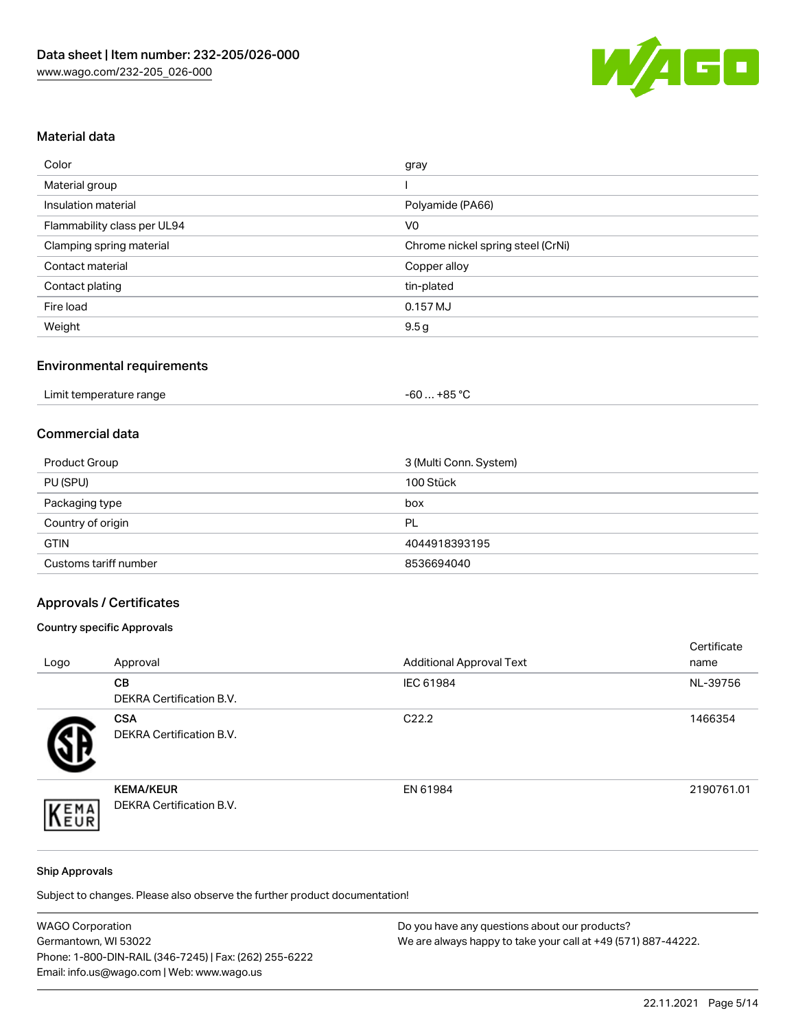

## Material data

| Color                       | gray                              |
|-----------------------------|-----------------------------------|
| Material group              |                                   |
| Insulation material         | Polyamide (PA66)                  |
| Flammability class per UL94 | V <sub>0</sub>                    |
| Clamping spring material    | Chrome nickel spring steel (CrNi) |
| Contact material            | Copper alloy                      |
| Contact plating             | tin-plated                        |
| Fire load                   | 0.157 MJ                          |
| Weight                      | 9.5 <sub>g</sub>                  |

#### Environmental requirements

| Limit temperature range<br>. | $. +85 °C$<br>-60 … |
|------------------------------|---------------------|
|------------------------------|---------------------|

#### Commercial data

| Product Group         | 3 (Multi Conn. System) |
|-----------------------|------------------------|
| PU (SPU)              | 100 Stück              |
| Packaging type        | box                    |
| Country of origin     | PL                     |
| <b>GTIN</b>           | 4044918393195          |
| Customs tariff number | 8536694040             |

## Approvals / Certificates

#### Country specific Approvals

| Logo | Approval                                            | <b>Additional Approval Text</b> | Certificate<br>name |
|------|-----------------------------------------------------|---------------------------------|---------------------|
|      | <b>CB</b><br><b>DEKRA Certification B.V.</b>        | IEC 61984                       | NL-39756            |
|      | <b>CSA</b><br>DEKRA Certification B.V.              | C <sub>22.2</sub>               | 1466354             |
| EMA  | <b>KEMA/KEUR</b><br><b>DEKRA Certification B.V.</b> | EN 61984                        | 2190761.01          |

#### Ship Approvals

Subject to changes. Please also observe the further product documentation!

| <b>WAGO Corporation</b>                                | Do you have any questions about our products?                 |
|--------------------------------------------------------|---------------------------------------------------------------|
| Germantown, WI 53022                                   | We are always happy to take your call at +49 (571) 887-44222. |
| Phone: 1-800-DIN-RAIL (346-7245)   Fax: (262) 255-6222 |                                                               |
| Email: info.us@wago.com   Web: www.wago.us             |                                                               |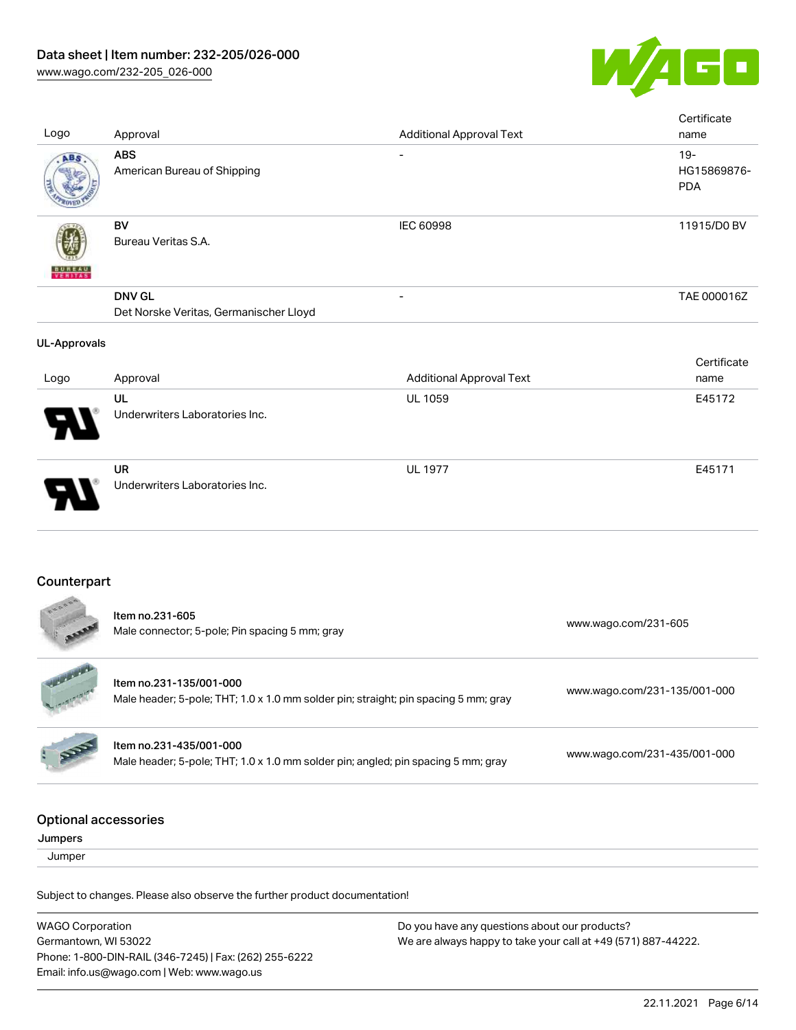

| Logo                                   | Approval                                                                                                       | <b>Additional Approval Text</b> | Certificate<br>name                 |
|----------------------------------------|----------------------------------------------------------------------------------------------------------------|---------------------------------|-------------------------------------|
| ABS                                    | <b>ABS</b><br>American Bureau of Shipping                                                                      |                                 | $19 -$<br>HG15869876-<br><b>PDA</b> |
|                                        | <b>BV</b><br>Bureau Veritas S.A.                                                                               | <b>IEC 60998</b>                | 11915/D0 BV                         |
|                                        | <b>DNV GL</b><br>Det Norske Veritas, Germanischer Lloyd                                                        |                                 | TAE 000016Z                         |
| <b>UL-Approvals</b>                    |                                                                                                                |                                 |                                     |
| Logo                                   | Approval                                                                                                       | <b>Additional Approval Text</b> | Certificate<br>name                 |
|                                        | UL<br>Underwriters Laboratories Inc.                                                                           | UL 1059                         | E45172                              |
|                                        | <b>UR</b><br>Underwriters Laboratories Inc.                                                                    | <b>UL 1977</b>                  | E45171                              |
| Counterpart                            |                                                                                                                |                                 |                                     |
|                                        | Item no.231-605<br>Male connector; 5-pole; Pin spacing 5 mm; gray                                              |                                 | www.wago.com/231-605                |
|                                        | Item no.231-135/001-000<br>Male header; 5-pole; THT; 1.0 x 1.0 mm solder pin; straight; pin spacing 5 mm; gray |                                 | www.wago.com/231-135/001-000        |
|                                        | Item no.231-435/001-000<br>Male header; 5-pole; THT; 1.0 x 1.0 mm solder pin; angled; pin spacing 5 mm; gray   |                                 | www.wago.com/231-435/001-000        |
| <b>Optional accessories</b><br>Jumpers |                                                                                                                |                                 |                                     |
| Jumper                                 |                                                                                                                |                                 |                                     |
|                                        | Subject to changes. Please also observe the further product documentation!                                     |                                 |                                     |
|                                        |                                                                                                                |                                 |                                     |

WAGO Corporation Germantown, WI 53022 Phone: 1-800-DIN-RAIL (346-7245) | Fax: (262) 255-6222 Email: info.us@wago.com | Web: www.wago.us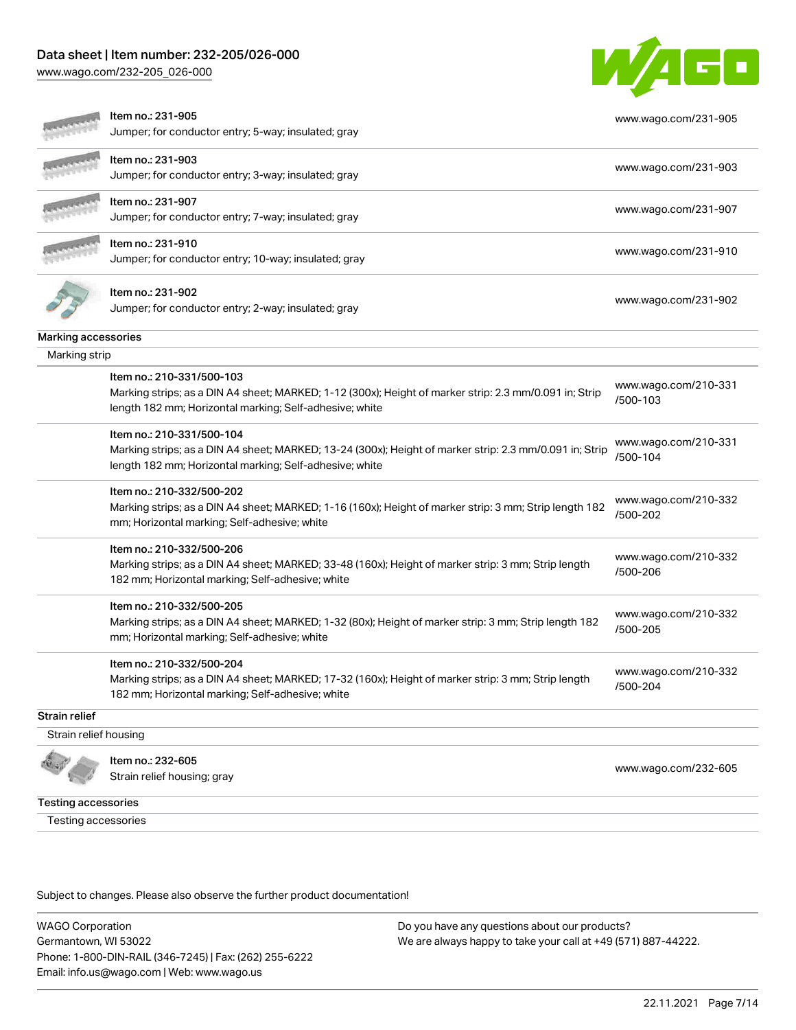### Data sheet | Item number: 232-205/026-000

[www.wago.com/232-205\\_026-000](http://www.wago.com/232-205_026-000)



|                       | Item no.: 231-905                                                                                       | www.wago.com/231-905             |
|-----------------------|---------------------------------------------------------------------------------------------------------|----------------------------------|
|                       | Jumper; for conductor entry; 5-way; insulated; gray                                                     |                                  |
|                       | Item no.: 231-903                                                                                       | www.wago.com/231-903             |
|                       | Jumper; for conductor entry; 3-way; insulated; gray                                                     |                                  |
|                       | Item no.: 231-907                                                                                       | www.wago.com/231-907             |
|                       | Jumper; for conductor entry; 7-way; insulated; gray                                                     |                                  |
|                       | Item no.: 231-910                                                                                       | www.wago.com/231-910             |
|                       | Jumper; for conductor entry; 10-way; insulated; gray                                                    |                                  |
|                       | Item no.: 231-902                                                                                       |                                  |
|                       | Jumper; for conductor entry; 2-way; insulated; gray                                                     | www.wago.com/231-902             |
| Marking accessories   |                                                                                                         |                                  |
| Marking strip         |                                                                                                         |                                  |
|                       | Item no.: 210-331/500-103                                                                               | www.wago.com/210-331             |
|                       | Marking strips; as a DIN A4 sheet; MARKED; 1-12 (300x); Height of marker strip: 2.3 mm/0.091 in; Strip  | /500-103                         |
|                       | length 182 mm; Horizontal marking; Self-adhesive; white                                                 |                                  |
|                       | Item no.: 210-331/500-104                                                                               | www.wago.com/210-331             |
|                       | Marking strips; as a DIN A4 sheet; MARKED; 13-24 (300x); Height of marker strip: 2.3 mm/0.091 in; Strip | /500-104                         |
|                       | length 182 mm; Horizontal marking; Self-adhesive; white                                                 |                                  |
|                       | Item no.: 210-332/500-202                                                                               |                                  |
|                       | Marking strips; as a DIN A4 sheet; MARKED; 1-16 (160x); Height of marker strip: 3 mm; Strip length 182  | www.wago.com/210-332<br>/500-202 |
|                       | mm; Horizontal marking; Self-adhesive; white                                                            |                                  |
|                       | Item no.: 210-332/500-206                                                                               |                                  |
|                       | Marking strips; as a DIN A4 sheet; MARKED; 33-48 (160x); Height of marker strip: 3 mm; Strip length     | www.wago.com/210-332<br>/500-206 |
|                       | 182 mm; Horizontal marking; Self-adhesive; white                                                        |                                  |
|                       | Item no.: 210-332/500-205                                                                               |                                  |
|                       | Marking strips; as a DIN A4 sheet; MARKED; 1-32 (80x); Height of marker strip: 3 mm; Strip length 182   | www.wago.com/210-332             |
|                       | mm; Horizontal marking; Self-adhesive; white                                                            | /500-205                         |
|                       | Item no.: 210-332/500-204                                                                               |                                  |
|                       | Marking strips; as a DIN A4 sheet; MARKED; 17-32 (160x); Height of marker strip: 3 mm; Strip length     | www.wago.com/210-332             |
|                       | 182 mm; Horizontal marking; Self-adhesive; white                                                        | /500-204                         |
| Strain relief         |                                                                                                         |                                  |
| Strain relief housing |                                                                                                         |                                  |
|                       | Item no.: 232-605                                                                                       |                                  |
|                       | Strain relief housing; gray                                                                             | www.wago.com/232-605             |

Testing accessories

Testing accessories

Subject to changes. Please also observe the further product documentation!

WAGO Corporation Germantown, WI 53022 Phone: 1-800-DIN-RAIL (346-7245) | Fax: (262) 255-6222 Email: info.us@wago.com | Web: www.wago.us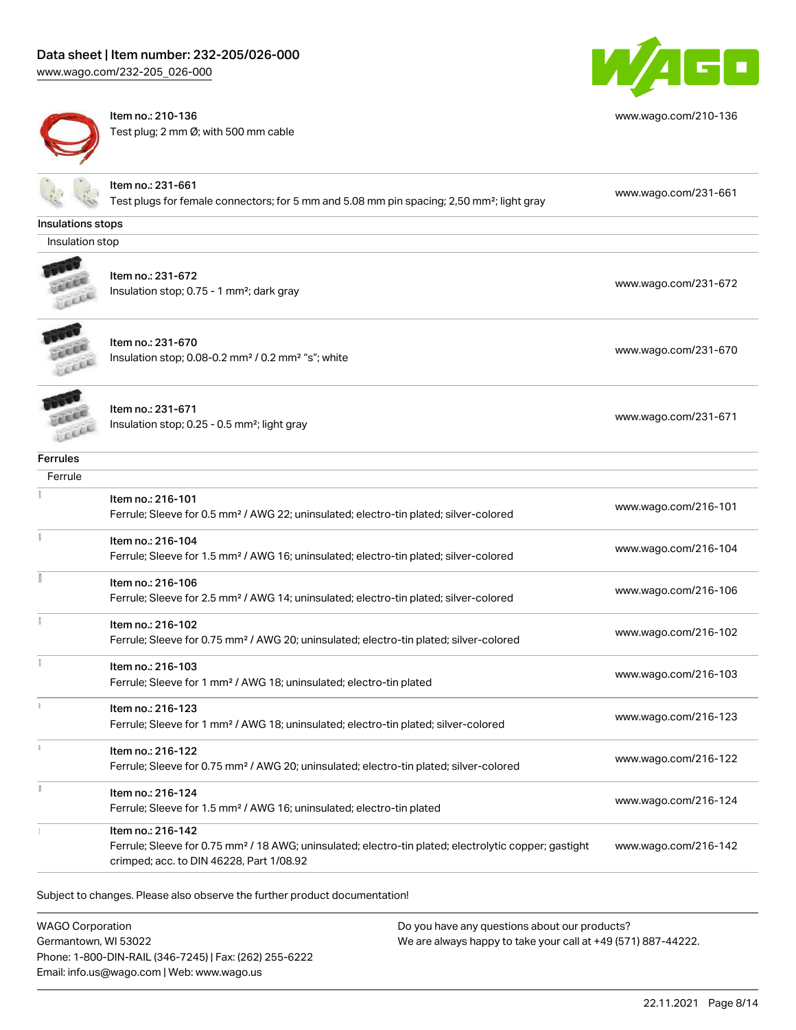# Data sheet | Item number: 232-205/026-000

[www.wago.com/232-205\\_026-000](http://www.wago.com/232-205_026-000)



Item no.: 210-136 Test plug; 2 mm Ø; with 500 mm cable



[www.wago.com/210-136](http://www.wago.com/210-136)

|                   | Item no.: 231-661                                                                                                                                             |                      |
|-------------------|---------------------------------------------------------------------------------------------------------------------------------------------------------------|----------------------|
|                   | Test plugs for female connectors; for 5 mm and 5.08 mm pin spacing; 2,50 mm <sup>2</sup> ; light gray                                                         | www.wago.com/231-661 |
| Insulations stops |                                                                                                                                                               |                      |
| Insulation stop   |                                                                                                                                                               |                      |
|                   | Item no.: 231-672                                                                                                                                             |                      |
|                   | Insulation stop; 0.75 - 1 mm <sup>2</sup> ; dark gray                                                                                                         | www.wago.com/231-672 |
|                   |                                                                                                                                                               |                      |
|                   | Item no.: 231-670                                                                                                                                             |                      |
|                   | Insulation stop; 0.08-0.2 mm <sup>2</sup> / 0.2 mm <sup>2</sup> "s"; white                                                                                    | www.wago.com/231-670 |
|                   |                                                                                                                                                               |                      |
|                   | Item no.: 231-671                                                                                                                                             |                      |
|                   | Insulation stop; 0.25 - 0.5 mm <sup>2</sup> ; light gray                                                                                                      | www.wago.com/231-671 |
|                   |                                                                                                                                                               |                      |
| <b>Ferrules</b>   |                                                                                                                                                               |                      |
| Ferrule           |                                                                                                                                                               |                      |
|                   | Item no.: 216-101                                                                                                                                             | www.wago.com/216-101 |
|                   | Ferrule; Sleeve for 0.5 mm <sup>2</sup> / AWG 22; uninsulated; electro-tin plated; silver-colored                                                             |                      |
|                   | Item no.: 216-104                                                                                                                                             | www.wago.com/216-104 |
|                   | Ferrule; Sleeve for 1.5 mm <sup>2</sup> / AWG 16; uninsulated; electro-tin plated; silver-colored                                                             |                      |
|                   | Item no.: 216-106                                                                                                                                             | www.wago.com/216-106 |
|                   | Ferrule; Sleeve for 2.5 mm <sup>2</sup> / AWG 14; uninsulated; electro-tin plated; silver-colored                                                             |                      |
|                   | Item no.: 216-102                                                                                                                                             | www.wago.com/216-102 |
|                   | Ferrule; Sleeve for 0.75 mm <sup>2</sup> / AWG 20; uninsulated; electro-tin plated; silver-colored                                                            |                      |
|                   | Item no.: 216-103                                                                                                                                             | www.wago.com/216-103 |
|                   | Ferrule; Sleeve for 1 mm <sup>2</sup> / AWG 18; uninsulated; electro-tin plated                                                                               |                      |
|                   | Item no.: 216-123                                                                                                                                             | www.wago.com/216-123 |
|                   | Ferrule; Sleeve for 1 mm <sup>2</sup> / AWG 18; uninsulated; electro-tin plated; silver-colored                                                               |                      |
|                   | Item no.: 216-122                                                                                                                                             |                      |
|                   | Ferrule; Sleeve for 0.75 mm <sup>2</sup> / AWG 20; uninsulated; electro-tin plated; silver-colored                                                            | www.wago.com/216-122 |
|                   | Item no.: 216-124                                                                                                                                             |                      |
|                   | Ferrule; Sleeve for 1.5 mm <sup>2</sup> / AWG 16; uninsulated; electro-tin plated                                                                             | www.wago.com/216-124 |
|                   | Item no.: 216-142                                                                                                                                             |                      |
|                   | Ferrule; Sleeve for 0.75 mm <sup>2</sup> / 18 AWG; uninsulated; electro-tin plated; electrolytic copper; gastight<br>crimped; acc. to DIN 46228, Part 1/08.92 | www.wago.com/216-142 |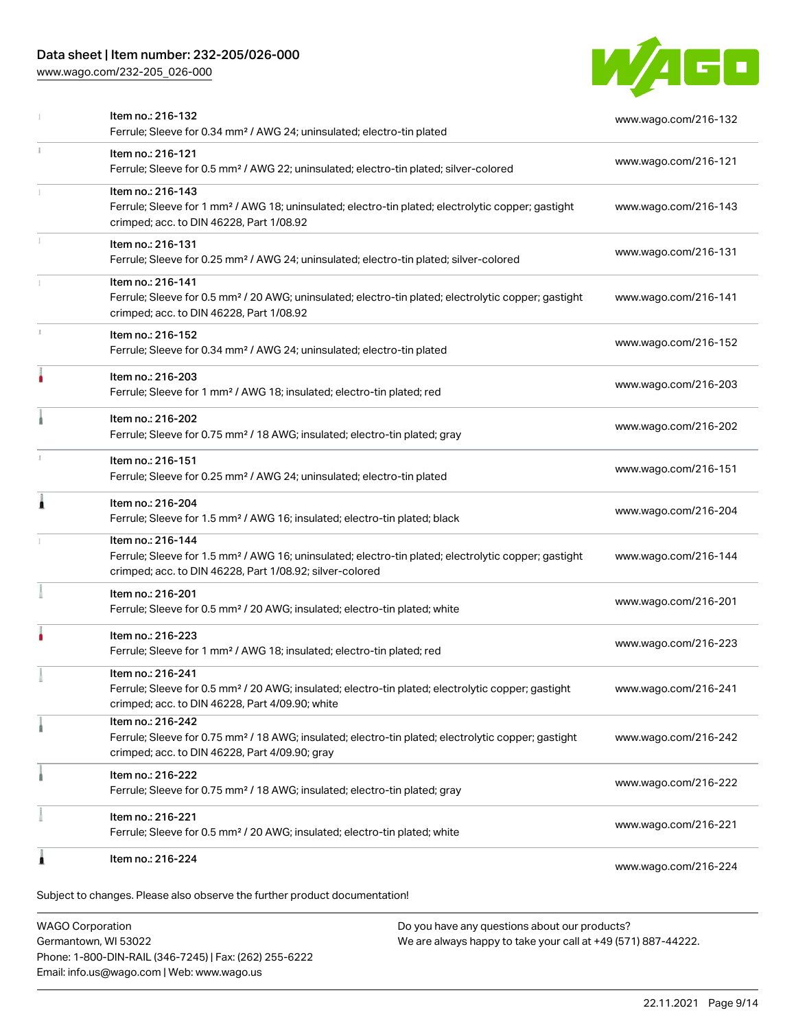### Data sheet | Item number: 232-205/026-000

[www.wago.com/232-205\\_026-000](http://www.wago.com/232-205_026-000)



|    | Item no.: 216-224                                                                                                                                                                                 | www.wago.com/216-224 |
|----|---------------------------------------------------------------------------------------------------------------------------------------------------------------------------------------------------|----------------------|
|    | Item no.: 216-221<br>Ferrule; Sleeve for 0.5 mm <sup>2</sup> / 20 AWG; insulated; electro-tin plated; white                                                                                       | www.wago.com/216-221 |
|    | Item no.: 216-222<br>Ferrule; Sleeve for 0.75 mm <sup>2</sup> / 18 AWG; insulated; electro-tin plated; gray                                                                                       | www.wago.com/216-222 |
|    | Item no.: 216-242<br>Ferrule; Sleeve for 0.75 mm <sup>2</sup> / 18 AWG; insulated; electro-tin plated; electrolytic copper; gastight<br>crimped; acc. to DIN 46228, Part 4/09.90; gray            | www.wago.com/216-242 |
|    | Item no.: 216-241<br>Ferrule; Sleeve for 0.5 mm <sup>2</sup> / 20 AWG; insulated; electro-tin plated; electrolytic copper; gastight<br>crimped; acc. to DIN 46228, Part 4/09.90; white            | www.wago.com/216-241 |
|    | Item no.: 216-223<br>Ferrule; Sleeve for 1 mm <sup>2</sup> / AWG 18; insulated; electro-tin plated; red                                                                                           | www.wago.com/216-223 |
|    | Item no.: 216-201<br>Ferrule; Sleeve for 0.5 mm <sup>2</sup> / 20 AWG; insulated; electro-tin plated; white                                                                                       | www.wago.com/216-201 |
|    | Item no.: 216-144<br>Ferrule; Sleeve for 1.5 mm <sup>2</sup> / AWG 16; uninsulated; electro-tin plated; electrolytic copper; gastight<br>crimped; acc. to DIN 46228, Part 1/08.92; silver-colored | www.wago.com/216-144 |
| Â  | Item no.: 216-204<br>Ferrule; Sleeve for 1.5 mm <sup>2</sup> / AWG 16; insulated; electro-tin plated; black                                                                                       | www.wago.com/216-204 |
|    | Item no.: 216-151<br>Ferrule; Sleeve for 0.25 mm <sup>2</sup> / AWG 24; uninsulated; electro-tin plated                                                                                           | www.wago.com/216-151 |
|    | Item no.: 216-202<br>Ferrule; Sleeve for 0.75 mm <sup>2</sup> / 18 AWG; insulated; electro-tin plated; gray                                                                                       | www.wago.com/216-202 |
| ۵  | Item no.: 216-203<br>Ferrule; Sleeve for 1 mm <sup>2</sup> / AWG 18; insulated; electro-tin plated; red                                                                                           | www.wago.com/216-203 |
|    | Item no.: 216-152<br>Ferrule; Sleeve for 0.34 mm <sup>2</sup> / AWG 24; uninsulated; electro-tin plated                                                                                           | www.wago.com/216-152 |
|    | Item no.: 216-141<br>Ferrule; Sleeve for 0.5 mm <sup>2</sup> / 20 AWG; uninsulated; electro-tin plated; electrolytic copper; gastight<br>crimped; acc. to DIN 46228, Part 1/08.92                 | www.wago.com/216-141 |
|    | Item no.: 216-131<br>Ferrule; Sleeve for 0.25 mm <sup>2</sup> / AWG 24; uninsulated; electro-tin plated; silver-colored                                                                           | www.wago.com/216-131 |
|    | Item no.: 216-143<br>Ferrule; Sleeve for 1 mm <sup>2</sup> / AWG 18; uninsulated; electro-tin plated; electrolytic copper; gastight<br>crimped; acc. to DIN 46228, Part 1/08.92                   | www.wago.com/216-143 |
| ī. | Item no.: 216-121<br>Ferrule; Sleeve for 0.5 mm <sup>2</sup> / AWG 22; uninsulated; electro-tin plated; silver-colored                                                                            | www.wago.com/216-121 |
|    | Item no.: 216-132<br>Ferrule; Sleeve for 0.34 mm <sup>2</sup> / AWG 24; uninsulated; electro-tin plated                                                                                           | www.wago.com/216-132 |

WAGO Corporation Germantown, WI 53022 Phone: 1-800-DIN-RAIL (346-7245) | Fax: (262) 255-6222 Email: info.us@wago.com | Web: www.wago.us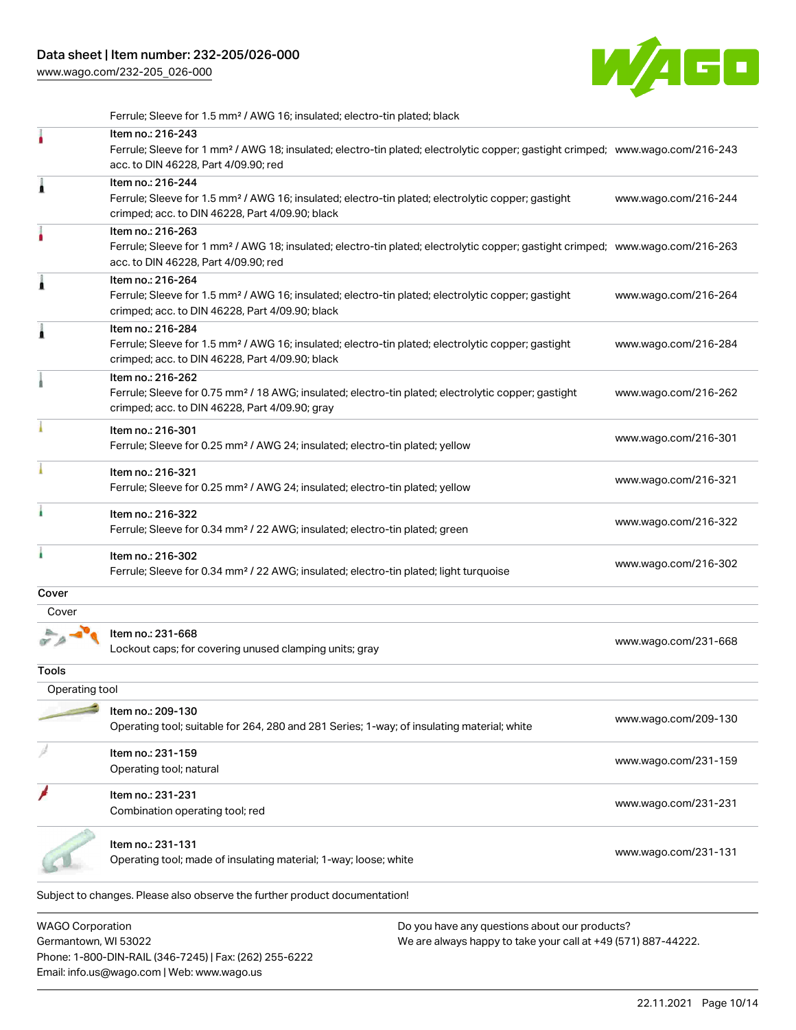[www.wago.com/232-205\\_026-000](http://www.wago.com/232-205_026-000)



Subject to changes. Please also observe the further product documentation! WAGO Corporation Ferrule; Sleeve for 1.5 mm² / AWG 16; insulated; electro-tin plated; black Item no.: 216-243 Ferrule; Sleeve for 1 mm² / AWG 18; insulated; electro-tin plated; electrolytic copper; gastight crimped; [www.wago.com/216-243](http://www.wago.com/216-243) acc. to DIN 46228, Part 4/09.90; red Item no.: 216-244 Ferrule; Sleeve for 1.5 mm² / AWG 16; insulated; electro-tin plated; electrolytic copper; gastight crimped; acc. to DIN 46228, Part 4/09.90; black [www.wago.com/216-244](http://www.wago.com/216-244) Item no.: 216-263 Ferrule; Sleeve for 1 mm² / AWG 18; insulated; electro-tin plated; electrolytic copper; gastight crimped; [www.wago.com/216-263](http://www.wago.com/216-263) acc. to DIN 46228, Part 4/09.90; red Item no.: 216-264 Ferrule; Sleeve for 1.5 mm² / AWG 16; insulated; electro-tin plated; electrolytic copper; gastight crimped; acc. to DIN 46228, Part 4/09.90; black [www.wago.com/216-264](http://www.wago.com/216-264) Item no.: 216-284 Ferrule; Sleeve for 1.5 mm² / AWG 16; insulated; electro-tin plated; electrolytic copper; gastight crimped; acc. to DIN 46228, Part 4/09.90; black [www.wago.com/216-284](http://www.wago.com/216-284) Item no.: 216-262 Ferrule; Sleeve for 0.75 mm² / 18 AWG; insulated; electro-tin plated; electrolytic copper; gastight crimped; acc. to DIN 46228, Part 4/09.90; gray [www.wago.com/216-262](http://www.wago.com/216-262) Item no.: 216-301 Ferrule; Sleeve for 0.25 mm² / AWG 24; insulated; electro-tin plated; yellow [www.wago.com/216-301](http://www.wago.com/216-301) Item no.: 216-321 Ferrule; Sleeve for 0.25 mm² / AWG 24; insulated; electro-tin plated; yellow [www.wago.com/216-321](http://www.wago.com/216-321) Item no.: 216-322 Ferrule; Sleeve for 0.34 mm² / 22 AWG; insulated; electro-tin plated; green [www.wago.com/216-322](http://www.wago.com/216-322) Item no.: 216-302 Ferrule; Sleeve for 0.34 mm² / 22 AWG; insulated; electro-tin plated; light turquoise [www.wago.com/216-302](http://www.wago.com/216-302) **Cover**  Cover Item no.: 231-668 Lockout caps; for covering unused clamping units; gray [www.wago.com/231-668](http://www.wago.com/231-668) Tools Operating tool Item no.: 209-130 Operating tool; suitable for 264, 280 and 281 Series; 1-way; of insulating material; white [www.wago.com/209-130](http://www.wago.com/209-130) Item no.: 231-159 Not the set that the set of the set of the set of the set of the set of the set of the set of the set of the set of the set of the set of the set of the set of the set of the set of the set of the set of the set of the set Item no.: 231-231 ntern item item in the second 231-231 combination operating tool; red [www.wago.com/231-231](http://www.wago.com/231-231) combination operating tool; red Item no.: 231-131 ntem io... 2014.<br>Operating tool; made of insulating material; 1-way; loose; white [www.wago.com/231-131](http://www.wago.com/231-131)

Germantown, WI 53022 Phone: 1-800-DIN-RAIL (346-7245) | Fax: (262) 255-6222 Email: info.us@wago.com | Web: www.wago.us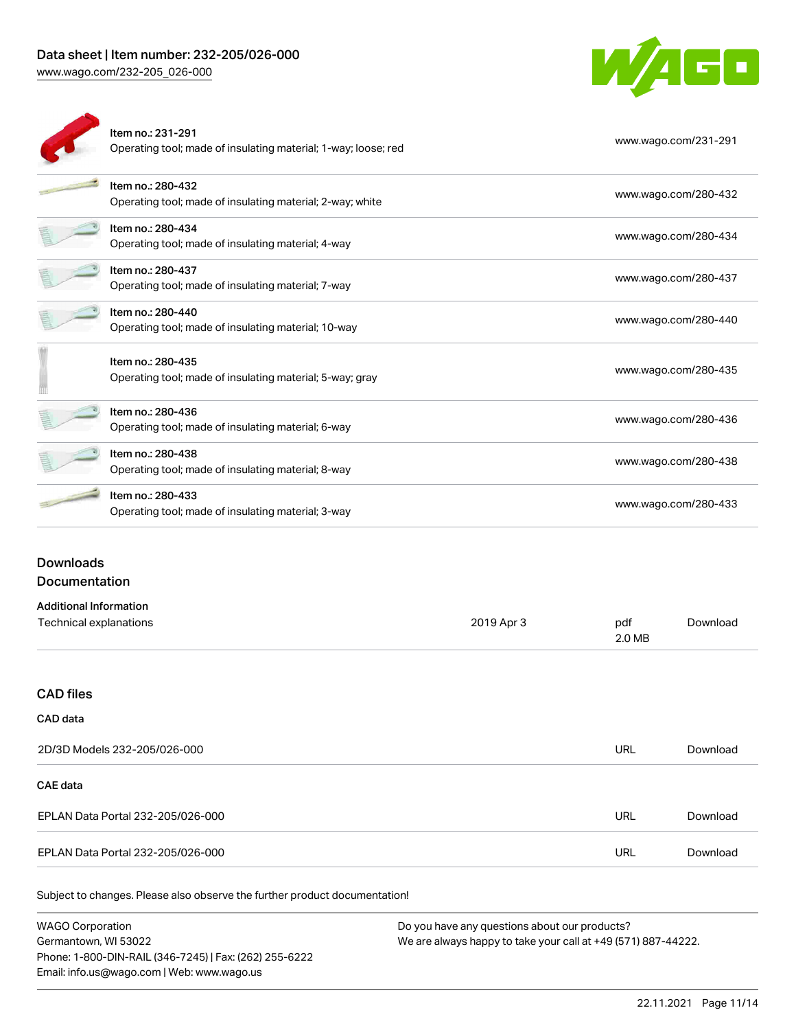WAGO

| Item no.: 231-291<br>Operating tool; made of insulating material; 1-way; loose; red | www.wago.com/231-291 |
|-------------------------------------------------------------------------------------|----------------------|
| Item no.: 280-432<br>Operating tool; made of insulating material; 2-way; white      | www.wago.com/280-432 |
| Item no.: 280-434<br>Operating tool; made of insulating material; 4-way             | www.wago.com/280-434 |
| Item no.: 280-437<br>Operating tool; made of insulating material; 7-way             | www.wago.com/280-437 |
| Item no.: 280-440<br>Operating tool; made of insulating material; 10-way            | www.wago.com/280-440 |
| Item no.: 280-435<br>Operating tool; made of insulating material; 5-way; gray       | www.wago.com/280-435 |
| Item no.: 280-436<br>Operating tool; made of insulating material; 6-way             | www.wago.com/280-436 |
| Item no.: 280-438<br>Operating tool; made of insulating material; 8-way             | www.wago.com/280-438 |
| Item no.: 280-433<br>Operating tool; made of insulating material; 3-way             | www.wago.com/280-433 |
|                                                                                     |                      |

## Downloads

#### Documentation

| <b>Additional Information</b> |            |        |          |
|-------------------------------|------------|--------|----------|
| Technical explanations        | 2019 Apr 3 | pdf    | Download |
|                               |            | 2.0 MB |          |

#### CAD files

#### CAD data

| 2D/3D Models 232-205/026-000      | URL        | Download |
|-----------------------------------|------------|----------|
| <b>CAE data</b>                   |            |          |
| EPLAN Data Portal 232-205/026-000 | <b>URL</b> | Download |
| EPLAN Data Portal 232-205/026-000 | URL        | Download |

Subject to changes. Please also observe the further product documentation!

| <b>WAGO Corporation</b>                                | Do vo |
|--------------------------------------------------------|-------|
| Germantown, WI 53022                                   | We ar |
| Phone: 1-800-DIN-RAIL (346-7245)   Fax: (262) 255-6222 |       |
| Email: info.us@wago.com   Web: www.wago.us             |       |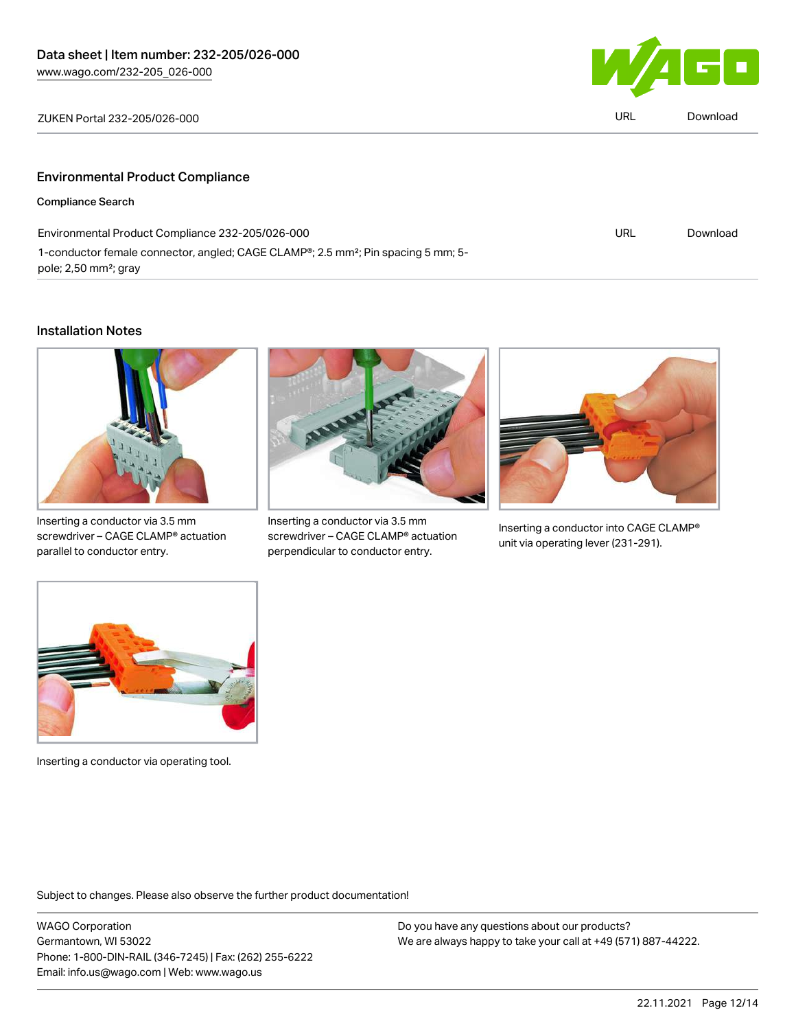L.



| ZUKEN Portal 232-205/026-000            | <b>URL</b> | Download |
|-----------------------------------------|------------|----------|
|                                         |            |          |
| <b>Environmental Product Compliance</b> |            |          |
| Compliance Search                       |            |          |

| Environmental Product Compliance 232-205/026-000                                                           | URL | Download |
|------------------------------------------------------------------------------------------------------------|-----|----------|
| 1-conductor female connector, angled; CAGE CLAMP <sup>®</sup> ; 2.5 mm <sup>2</sup> ; Pin spacing 5 mm; 5- |     |          |
| pole; 2,50 mm <sup>2</sup> ; gray                                                                          |     |          |

### Installation Notes



Inserting a conductor via 3.5 mm screwdriver – CAGE CLAMP® actuation parallel to conductor entry.



Inserting a conductor via 3.5 mm screwdriver – CAGE CLAMP® actuation perpendicular to conductor entry.



Inserting a conductor into CAGE CLAMP® unit via operating lever (231-291).



Inserting a conductor via operating tool.

Subject to changes. Please also observe the further product documentation!

WAGO Corporation Germantown, WI 53022 Phone: 1-800-DIN-RAIL (346-7245) | Fax: (262) 255-6222 Email: info.us@wago.com | Web: www.wago.us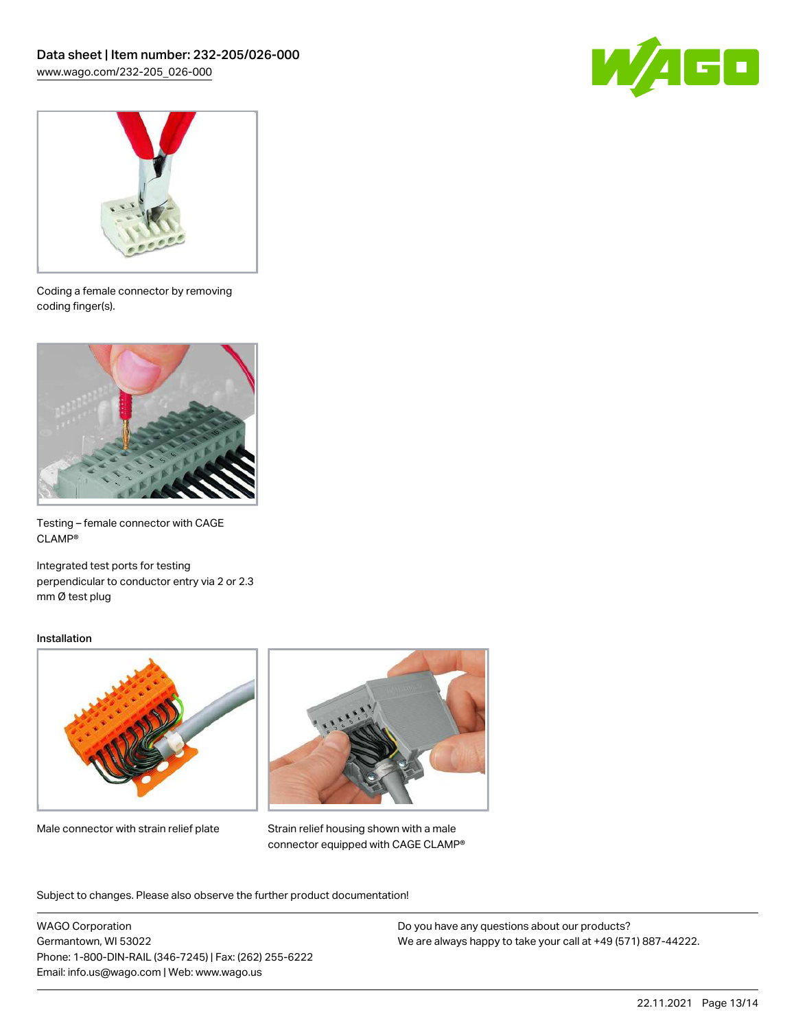



Coding a female connector by removing coding finger(s).



Testing – female connector with CAGE CLAMP®

Integrated test ports for testing perpendicular to conductor entry via 2 or 2.3 mm Ø test plug

#### Installation



Male connector with strain relief plate



Strain relief housing shown with a male connector equipped with CAGE CLAMP®

Subject to changes. Please also observe the further product documentation!

WAGO Corporation Germantown, WI 53022 Phone: 1-800-DIN-RAIL (346-7245) | Fax: (262) 255-6222 Email: info.us@wago.com | Web: www.wago.us